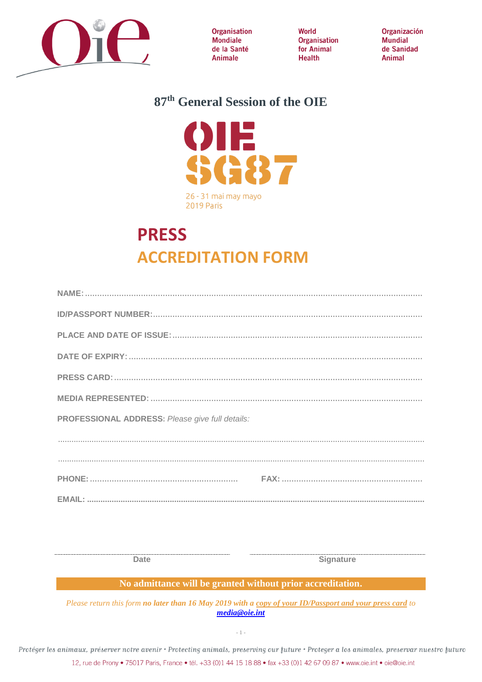

**Organisation** Mondiale de la Santé Animale

**World** Organisation for Animal **Health** 

Organización **Mundial** de Sanidad Animal

### 87<sup>th</sup> General Session of the OIE



# **PRESS ACCREDITATION FORM**

| PROFESSIONAL ADDRESS: Please give full details: |
|-------------------------------------------------|
|                                                 |
|                                                 |
|                                                 |
|                                                 |
|                                                 |

**Date** 

**Signature** 

#### No admittance will be granted without prior accreditation.

Please return this form no later than 16 May 2019 with a copy of your ID/Passport and your press card to media@oie.int

Protéger les animaux, préserver notre avenir · Protecting animals, preserving our future · Proteger a los animales, preservar nuestro futuro 12, rue de Prony · 75017 Paris, France · tél. +33 (0)1 44 15 18 88 · fax +33 (0)1 42 67 09 87 · www.oie.int · oie@oie.int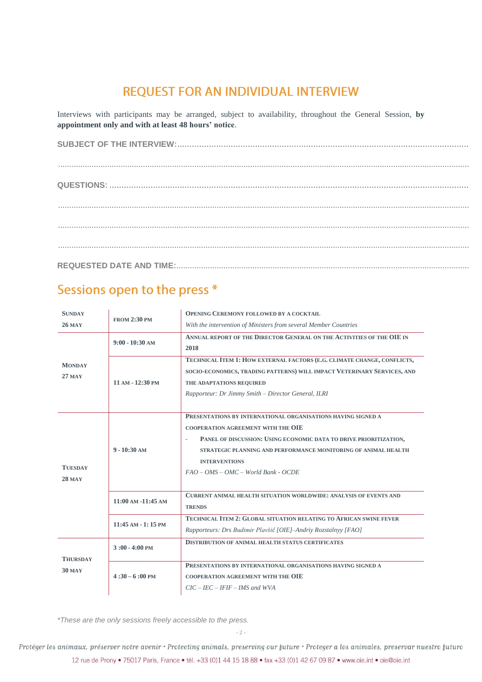## **REQUEST FOR AN INDIVIDUAL INTERVIEW**

Interviews with participants may be arranged, subject to availability, throughout the General Session, **by appointment only and with at least 48 hours' notice**.

### Sessions open to the press \*

| <b>SUNDAY</b><br><b>26 MAY</b>   | <b>FROM 2:30 PM</b>    | <b>OPENING CEREMONY FOLLOWED BY A COCKTAIL</b><br>With the intervention of Ministers from several Member Countries                                                                                                                                                                                                            |
|----------------------------------|------------------------|-------------------------------------------------------------------------------------------------------------------------------------------------------------------------------------------------------------------------------------------------------------------------------------------------------------------------------|
| <b>MONDAY</b><br>$27$ MAY        | $9:00 - 10:30$ AM      | ANNUAL REPORT OF THE DIRECTOR GENERAL ON THE ACTIVITIES OF THE OIE IN<br>2018                                                                                                                                                                                                                                                 |
|                                  | 11 AM - 12:30 PM       | TECHNICAL ITEM 1: HOW EXTERNAL FACTORS (E.G. CLIMATE CHANGE, CONFLICTS,<br>SOCIO-ECONOMICS, TRADING PATTERNS) WILL IMPACT VETERINARY SERVICES, AND<br>THE ADAPTATIONS REQUIRED<br>Rapporteur: Dr Jimmy Smith - Director General, ILRI                                                                                         |
| <b>TUESDAY</b><br><b>28 MAY</b>  | $9 - 10:30$ AM         | PRESENTATIONS BY INTERNATIONAL ORGANISATIONS HAVING SIGNED A<br><b>COOPERATION AGREEMENT WITH THE OIE</b><br>PANEL OF DISCUSSION: USING ECONOMIC DATA TO DRIVE PRIORITIZATION,<br>$\omega$<br>STRATEGIC PLANNING AND PERFORMANCE MONITORING OF ANIMAL HEALTH<br><b>INTERVENTIONS</b><br>$FAO - OMS - OMC - World Bank - OCDE$ |
|                                  | 11:00 AM -11:45 AM     | <b>CURRENT ANIMAL HEALTH SITUATION WORLDWIDE: ANALYSIS OF EVENTS AND</b><br><b>TRENDS</b>                                                                                                                                                                                                                                     |
|                                  | 11:45 AM - 1:15 PM     | TECHNICAL ITEM 2: GLOBAL SITUATION RELATING TO AFRICAN SWINE FEVER<br>Rapporteurs: Drs Budimir Plavšić [OIE]-Andriy Rozstalnyy [FAO]                                                                                                                                                                                          |
| <b>THURSDAY</b><br><b>30 MAY</b> | $3:00 - 4:00$ PM       | <b>DISTRIBUTION OF ANIMAL HEALTH STATUS CERTIFICATES</b>                                                                                                                                                                                                                                                                      |
|                                  | $4:30-6:00 \text{ PM}$ | PRESENTATIONS BY INTERNATIONAL ORGANISATIONS HAVING SIGNED A<br><b>COOPERATION AGREEMENT WITH THE OIE</b><br>$CIC - IEC - IFIF - IMS$ and WVA                                                                                                                                                                                 |

*\*These are the only sessions freely accessible to the press.*

- 2 -

Protéger les animaux, préserver notre avenir • Protecting animals, preserving our future • Proteger a los animales, preservar nuestro futuro